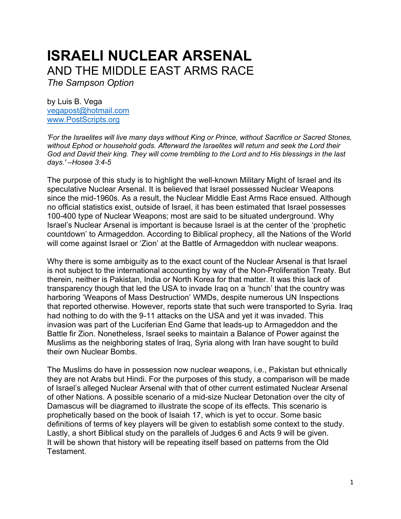# **ISRAELI NUCLEAR ARSENAL**  AND THE MIDDLE EAST ARMS RACE

*The Sampson Option*

by Luis B. Vega [vegapost@hotmail.com](mailto:vegapost@hotmail.com) [www.PostScripts.org](http://www.postscripts.org/)

*'For the Israelites will live many days without King or Prince, without Sacrifice or Sacred Stones, without Ephod or household gods. Afterward the Israelites will return and seek the Lord their God and David their king. They will come trembling to the Lord and to His blessings in the last days.' –Hosea 3:4-5*

The purpose of this study is to highlight the well-known Military Might of Israel and its speculative Nuclear Arsenal. It is believed that Israel possessed Nuclear Weapons since the mid-1960s. As a result, the Nuclear Middle East Arms Race ensued. Although no official statistics exist, outside of Israel, it has been estimated that Israel possesses 100-400 type of Nuclear Weapons; most are said to be situated underground. Why Israel's Nuclear Arsenal is important is because Israel is at the center of the 'prophetic countdown' to Armageddon. According to Biblical prophecy, all the Nations of the World will come against Israel or 'Zion' at the Battle of Armageddon with nuclear weapons.

Why there is some ambiguity as to the exact count of the Nuclear Arsenal is that Israel is not subject to the international accounting by way of the Non-Proliferation Treaty. But therein, neither is Pakistan, India or North Korea for that matter. It was this lack of transparency though that led the USA to invade Iraq on a 'hunch' that the country was harboring 'Weapons of Mass Destruction' WMDs, despite numerous UN Inspections that reported otherwise. However, reports state that such were transported to Syria. Iraq had nothing to do with the 9-11 attacks on the USA and yet it was invaded. This invasion was part of the Luciferian End Game that leads-up to Armageddon and the Battle fir Zion. Nonetheless, Israel seeks to maintain a Balance of Power against the Muslims as the neighboring states of Iraq, Syria along with Iran have sought to build their own Nuclear Bombs.

The Muslims do have in possession now nuclear weapons, i.e., Pakistan but ethnically they are not Arabs but Hindi. For the purposes of this study, a comparison will be made of Israel's alleged Nuclear Arsenal with that of other current estimated Nuclear Arsenal of other Nations. A possible scenario of a mid-size Nuclear Detonation over the city of Damascus will be diagramed to illustrate the scope of its effects. This scenario is prophetically based on the book of Isaiah 17, which is yet to occur. Some basic definitions of terms of key players will be given to establish some context to the study. Lastly, a short Biblical study on the parallels of Judges 6 and Acts 9 will be given. It will be shown that history will be repeating itself based on patterns from the Old Testament.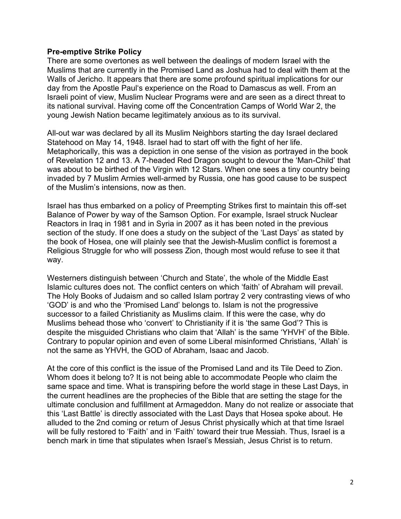## **Pre-emptive Strike Policy**

There are some overtones as well between the dealings of modern Israel with the Muslims that are currently in the Promised Land as Joshua had to deal with them at the Walls of Jericho. It appears that there are some profound spiritual implications for our day from the Apostle Paul's experience on the Road to Damascus as well. From an Israeli point of view, Muslim Nuclear Programs were and are seen as a direct threat to its national survival. Having come off the Concentration Camps of World War 2, the young Jewish Nation became legitimately anxious as to its survival.

All-out war was declared by all its Muslim Neighbors starting the day Israel declared Statehood on May 14, 1948. Israel had to start off with the fight of her life. Metaphorically, this was a depiction in one sense of the vision as portrayed in the book of Revelation 12 and 13. A 7-headed Red Dragon sought to devour the 'Man-Child' that was about to be birthed of the Virgin with 12 Stars. When one sees a tiny country being invaded by 7 Muslim Armies well-armed by Russia, one has good cause to be suspect of the Muslim's intensions, now as then.

Israel has thus embarked on a policy of Preempting Strikes first to maintain this off-set Balance of Power by way of the Samson Option. For example, Israel struck Nuclear Reactors in Iraq in 1981 and in Syria in 2007 as it has been noted in the previous section of the study. If one does a study on the subject of the 'Last Days' as stated by the book of Hosea, one will plainly see that the Jewish-Muslim conflict is foremost a Religious Struggle for who will possess Zion, though most would refuse to see it that way.

Westerners distinguish between 'Church and State', the whole of the Middle East Islamic cultures does not. The conflict centers on which 'faith' of Abraham will prevail. The Holy Books of Judaism and so called Islam portray 2 very contrasting views of who 'GOD' is and who the 'Promised Land' belongs to. Islam is not the progressive successor to a failed Christianity as Muslims claim. If this were the case, why do Muslims behead those who 'convert' to Christianity if it is 'the same God'? This is despite the misguided Christians who claim that 'Allah' is the same 'YHVH' of the Bible. Contrary to popular opinion and even of some Liberal misinformed Christians, 'Allah' is not the same as YHVH, the GOD of Abraham, Isaac and Jacob.

At the core of this conflict is the issue of the Promised Land and its Tile Deed to Zion. Whom does it belong to? It is not being able to accommodate People who claim the same space and time. What is transpiring before the world stage in these Last Days, in the current headlines are the prophecies of the Bible that are setting the stage for the ultimate conclusion and fulfillment at Armageddon. Many do not realize or associate that this 'Last Battle' is directly associated with the Last Days that Hosea spoke about. He alluded to the 2nd coming or return of Jesus Christ physically which at that time Israel will be fully restored to 'Faith' and in 'Faith' toward their true Messiah. Thus, Israel is a bench mark in time that stipulates when Israel's Messiah, Jesus Christ is to return.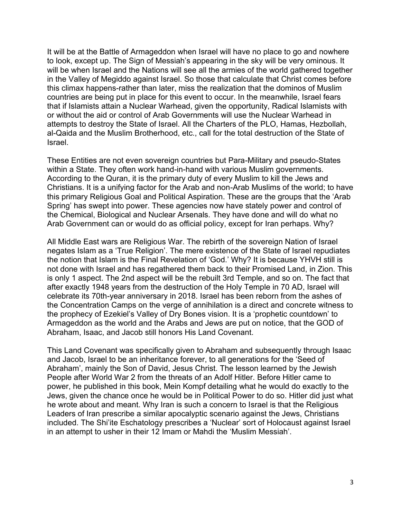It will be at the Battle of Armageddon when Israel will have no place to go and nowhere to look, except up. The Sign of Messiah's appearing in the sky will be very ominous. It will be when Israel and the Nations will see all the armies of the world gathered together in the Valley of Megiddo against Israel. So those that calculate that Christ comes before this climax happens-rather than later, miss the realization that the dominos of Muslim countries are being put in place for this event to occur. In the meanwhile, Israel fears that if Islamists attain a Nuclear Warhead, given the opportunity, Radical Islamists with or without the aid or control of Arab Governments will use the Nuclear Warhead in attempts to destroy the State of Israel. All the Charters of the PLO, Hamas, Hezbollah, al-Qaida and the Muslim Brotherhood, etc., call for the total destruction of the State of Israel.

These Entities are not even sovereign countries but Para-Military and pseudo-States within a State. They often work hand-in-hand with various Muslim governments. According to the Quran, it is the primary duty of every Muslim to kill the Jews and Christians. It is a unifying factor for the Arab and non-Arab Muslims of the world; to have this primary Religious Goal and Political Aspiration. These are the groups that the 'Arab Spring' has swept into power. These agencies now have stately power and control of the Chemical, Biological and Nuclear Arsenals. They have done and will do what no Arab Government can or would do as official policy, except for Iran perhaps. Why?

All Middle East wars are Religious War. The rebirth of the sovereign Nation of Israel negates Islam as a 'True Religion'. The mere existence of the State of Israel repudiates the notion that Islam is the Final Revelation of 'God.' Why? It is because YHVH still is not done with Israel and has regathered them back to their Promised Land, in Zion. This is only 1 aspect. The 2nd aspect will be the rebuilt 3rd Temple, and so on. The fact that after exactly 1948 years from the destruction of the Holy Temple in 70 AD, Israel will celebrate its 70th-year anniversary in 2018. Israel has been reborn from the ashes of the Concentration Camps on the verge of annihilation is a direct and concrete witness to the prophecy of Ezekiel's Valley of Dry Bones vision. It is a 'prophetic countdown' to Armageddon as the world and the Arabs and Jews are put on notice, that the GOD of Abraham, Isaac, and Jacob still honors His Land Covenant.

This Land Covenant was specifically given to Abraham and subsequently through Isaac and Jacob, Israel to be an inheritance forever, to all generations for the 'Seed of Abraham', mainly the Son of David, Jesus Christ. The lesson learned by the Jewish People after World War 2 from the threats of an Adolf Hitler. Before Hitler came to power, he published in this book, Mein Kompf detailing what he would do exactly to the Jews, given the chance once he would be in Political Power to do so. Hitler did just what he wrote about and meant. Why Iran is such a concern to Israel is that the Religious Leaders of Iran prescribe a similar apocalyptic scenario against the Jews, Christians included. The Shi'ite Eschatology prescribes a 'Nuclear' sort of Holocaust against Israel in an attempt to usher in their 12 Imam or Mahdi the 'Muslim Messiah'.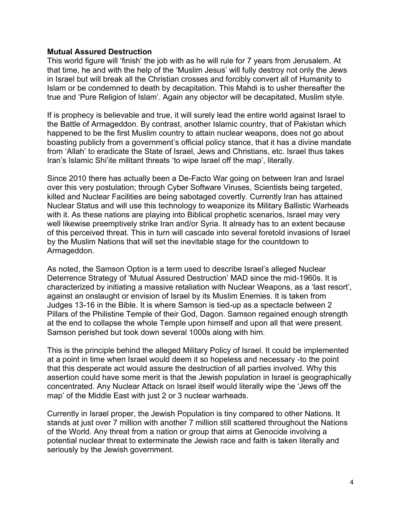# **Mutual Assured Destruction**

This world figure will 'finish' the job with as he will rule for 7 years from Jerusalem. At that time, he and with the help of the 'Muslim Jesus' will fully destroy not only the Jews in Israel but will break all the Christian crosses and forcibly convert all of Humanity to Islam or be condemned to death by decapitation. This Mahdi is to usher thereafter the true and 'Pure Religion of Islam'. Again any objector will be decapitated, Muslim style.

If is prophecy is believable and true, it will surely lead the entire world against Israel to the Battle of Armageddon. By contrast, another Islamic country, that of Pakistan which happened to be the first Muslim country to attain nuclear weapons, does not go about boasting publicly from a government's official policy stance, that it has a divine mandate from 'Allah' to eradicate the State of Israel, Jews and Christians, etc. Israel thus takes Iran's Islamic Shi'ite militant threats 'to wipe Israel off the map', literally.

Since 2010 there has actually been a De-Facto War going on between Iran and Israel over this very postulation; through Cyber Software Viruses, Scientists being targeted, killed and Nuclear Facilities are being sabotaged covertly. Currently Iran has attained Nuclear Status and will use this technology to weaponize its Military Ballistic Warheads with it. As these nations are playing into Biblical prophetic scenarios, Israel may very well likewise preemptively strike Iran and/or Syria. It already has to an extent because of this perceived threat. This in turn will cascade into several foretold invasions of Israel by the Muslim Nations that will set the inevitable stage for the countdown to Armageddon.

As noted, the Samson Option is a term used to describe Israel's alleged Nuclear Deterrence Strategy of 'Mutual Assured Destruction' MAD since the mid-1960s. It is characterized by initiating a massive retaliation with Nuclear Weapons, as a 'last resort', against an onslaught or envision of Israel by its Muslim Enemies. It is taken from Judges 13-16 in the Bible. It is where Samson is tied-up as a spectacle between 2 Pillars of the Philistine Temple of their God, Dagon. Samson regained enough strength at the end to collapse the whole Temple upon himself and upon all that were present. Samson perished but took down several 1000s along with him.

This is the principle behind the alleged Military Policy of Israel. It could be implemented at a point in time when Israel would deem it so hopeless and necessary -to the point that this desperate act would assure the destruction of all parties involved. Why this assertion could have some merit is that the Jewish population in Israel is geographically concentrated. Any Nuclear Attack on Israel itself would literally wipe the 'Jews off the map' of the Middle East with just 2 or 3 nuclear warheads.

Currently in Israel proper, the Jewish Population is tiny compared to other Nations. It stands at just over 7 million with another 7 million still scattered throughout the Nations of the World. Any threat from a nation or group that aims at Genocide involving a potential nuclear threat to exterminate the Jewish race and faith is taken literally and seriously by the Jewish government.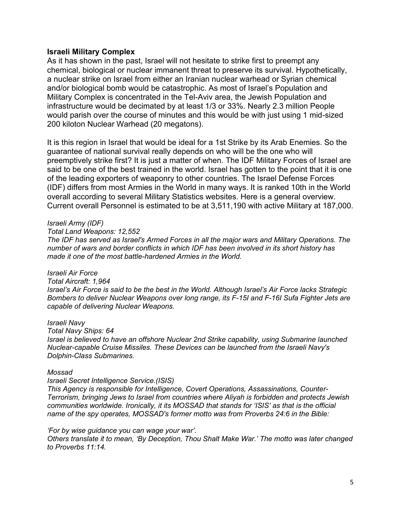#### **Israeli Military Complex**

As it has shown in the past, Israel will not hesitate to strike first to preempt any chemical, biological or nuclear immanent threat to preserve its survival. Hypothetically, a nuclear strike on Israel from either an Iranian nuclear warhead or Syrian chemical and/or biological bomb would be catastrophic. As most of Israel's Population and Military Complex is concentrated in the Tel-Aviv area, the Jewish Population and infrastructure would be decimated by at least 1/3 or 33%. Nearly 2.3 million People would parish over the course of minutes and this would be with just using 1 mid-sized 200 kiloton Nuclear Warhead (20 megatons).

It is this region in Israel that would be ideal for a 1st Strike by its Arab Enemies. So the guarantee of national survival really depends on who will be the one who will preemptively strike first? It is just a matter of when. The IDF Military Forces of Israel are said to be one of the best trained in the world. Israel has gotten to the point that it is one of the leading exporters of weaponry to other countries. The Israel Defense Forces (IDF) differs from most Armies in the World in many ways. It is ranked 10th in the World overall according to several Military Statistics websites. Here is a general overview. Current overall Personnel is estimated to be at 3,511,190 with active Military at 187,000.

#### *Israeli Army (IDF)*

*Total Land Weapons: 12,552*

*The IDF has served as Israel's Armed Forces in all the major wars and Military Operations. The number of wars and border conflicts in which IDF has been involved in its short history has made it one of the most battle-hardened Armies in the World.* 

#### *Israeli Air Force*

#### *Total Aircraft: 1,964*

*Israel's Air Force is said to be the best in the World. Although Israel's Air Force lacks Strategic Bombers to deliver Nuclear Weapons over long range, its F-15I and F-16I Sufa Fighter Jets are capable of delivering Nuclear Weapons.* 

#### *Israeli Navy*

#### *Total Navy Ships: 64*

*Israel is believed to have an offshore Nuclear 2nd Strike capability, using Submarine launched Nuclear-capable Cruise Missiles. These Devices can be launched from the Israeli Navy's Dolphin-Class Submarines.*

#### *Mossad*

#### *Israeli Secret Intelligence Service.(ISIS)*

*This Agency is responsible for Intelligence, Covert Operations, Assassinations, Counter-Terrorism, bringing Jews to Israel from countries where Aliyah is forbidden and protects Jewish communities worldwide. Ironically, it its MOSSAD that stands for 'ISIS' as that is the official name of the spy operates, MOSSAD's former motto was from Proverbs 24:6 in the Bible:* 

#### *'For by wise guidance you can wage your war'.*

*Others translate it to mean, 'By Deception, Thou Shalt Make War.' The motto was later changed to Proverbs 11:14.*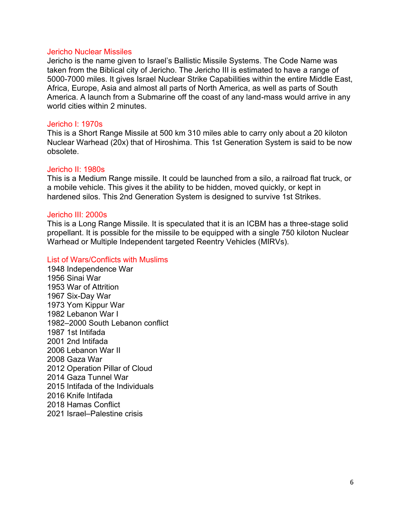#### Jericho Nuclear Missiles

Jericho is the name given to Israel's Ballistic Missile Systems. The Code Name was taken from the Biblical city of Jericho. The Jericho III is estimated to have a range of 5000-7000 miles. It gives Israel Nuclear Strike Capabilities within the entire Middle East, Africa, Europe, Asia and almost all parts of North America, as well as parts of South America. A launch from a Submarine off the coast of any land-mass would arrive in any world cities within 2 minutes

## Jericho I: 1970s

This is a Short Range Missile at 500 km 310 miles able to carry only about a 20 kiloton Nuclear Warhead (20x) that of Hiroshima. This 1st Generation System is said to be now obsolete.

#### Jericho II: 1980s

This is a Medium Range missile. It could be launched from a silo, a railroad flat truck, or a mobile vehicle. This gives it the ability to be hidden, moved quickly, or kept in hardened silos. This 2nd Generation System is designed to survive 1st Strikes.

#### Jericho III: 2000s

This is a Long Range Missile. It is speculated that it is an ICBM has a three-stage solid propellant. It is possible for the missile to be equipped with a single 750 kiloton Nuclear Warhead or Multiple Independent targeted Reentry Vehicles (MIRVs).

## List of Wars/Conflicts with Muslims

1948 Independence War 1956 Sinai War 1953 War of Attrition 1967 Six-Day War 1973 Yom Kippur War 1982 Lebanon War I 1982–2000 South Lebanon conflict 1987 1st Intifada 2001 2nd Intifada 2006 Lebanon War II 2008 Gaza War 2012 Operation Pillar of Cloud 2014 Gaza Tunnel War 2015 Intifada of the Individuals 2016 Knife Intifada 2018 Hamas Conflict 2021 Israel–Palestine crisis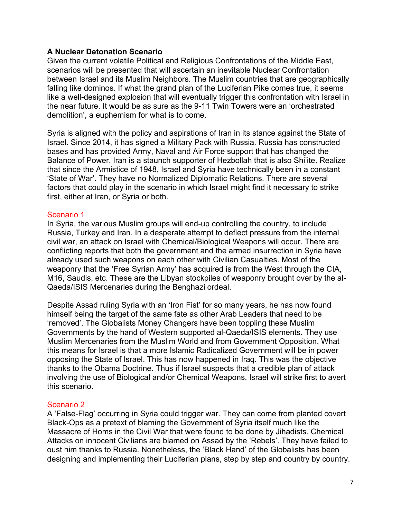# **A Nuclear Detonation Scenario**

Given the current volatile Political and Religious Confrontations of the Middle East, scenarios will be presented that will ascertain an inevitable Nuclear Confrontation between Israel and its Muslim Neighbors. The Muslim countries that are geographically falling like dominos. If what the grand plan of the Luciferian Pike comes true, it seems like a well-designed explosion that will eventually trigger this confrontation with Israel in the near future. It would be as sure as the 9-11 Twin Towers were an 'orchestrated demolition', a euphemism for what is to come.

Syria is aligned with the policy and aspirations of Iran in its stance against the State of Israel. Since 2014, it has signed a Military Pack with Russia. Russia has constructed bases and has provided Army, Naval and Air Force support that has changed the Balance of Power. Iran is a staunch supporter of Hezbollah that is also Shi'ite. Realize that since the Armistice of 1948, Israel and Syria have technically been in a constant 'State of War'. They have no Normalized Diplomatic Relations. There are several factors that could play in the scenario in which Israel might find it necessary to strike first, either at Iran, or Syria or both.

## Scenario 1

In Syria, the various Muslim groups will end-up controlling the country, to include Russia, Turkey and Iran. In a desperate attempt to deflect pressure from the internal civil war, an attack on Israel with Chemical/Biological Weapons will occur. There are conflicting reports that both the government and the armed insurrection in Syria have already used such weapons on each other with Civilian Casualties. Most of the weaponry that the 'Free Syrian Army' has acquired is from the West through the CIA, M16, Saudis, etc. These are the Libyan stockpiles of weaponry brought over by the al-Qaeda/ISIS Mercenaries during the Benghazi ordeal.

Despite Assad ruling Syria with an 'Iron Fist' for so many years, he has now found himself being the target of the same fate as other Arab Leaders that need to be 'removed'. The Globalists Money Changers have been toppling these Muslim Governments by the hand of Western supported al-Qaeda/ISIS elements. They use Muslim Mercenaries from the Muslim World and from Government Opposition. What this means for Israel is that a more Islamic Radicalized Government will be in power opposing the State of Israel. This has now happened in Iraq. This was the objective thanks to the Obama Doctrine. Thus if Israel suspects that a credible plan of attack involving the use of Biological and/or Chemical Weapons, Israel will strike first to avert this scenario.

## Scenario 2

A 'False-Flag' occurring in Syria could trigger war. They can come from planted covert Black-Ops as a pretext of blaming the Government of Syria itself much like the Massacre of Homs in the Civil War that were found to be done by Jihadists. Chemical Attacks on innocent Civilians are blamed on Assad by the 'Rebels'. They have failed to oust him thanks to Russia. Nonetheless, the 'Black Hand' of the Globalists has been designing and implementing their Luciferian plans, step by step and country by country.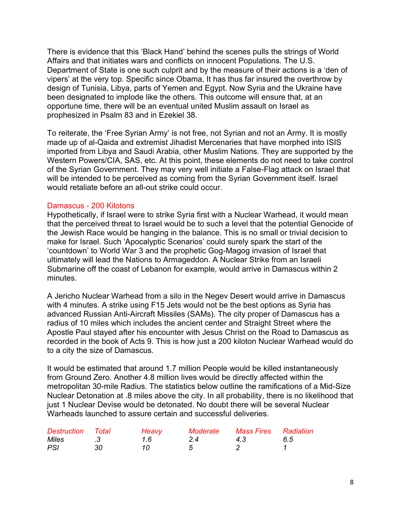There is evidence that this 'Black Hand' behind the scenes pulls the strings of World Affairs and that initiates wars and conflicts on innocent Populations. The U.S. Department of State is one such culprit and by the measure of their actions is a 'den of vipers' at the very top. Specific since Obama, It has thus far insured the overthrow by design of Tunisia, Libya, parts of Yemen and Egypt. Now Syria and the Ukraine have been designated to implode like the others. This outcome will ensure that, at an opportune time, there will be an eventual united Muslim assault on Israel as prophesized in Psalm 83 and in Ezekiel 38.

To reiterate, the 'Free Syrian Army' is not free, not Syrian and not an Army. It is mostly made up of al-Qaida and extremist Jihadist Mercenaries that have morphed into ISIS imported from Libya and Saudi Arabia, other Muslim Nations. They are supported by the Western Powers/CIA, SAS, etc. At this point, these elements do not need to take control of the Syrian Government. They may very well initiate a False-Flag attack on Israel that will be intended to be perceived as coming from the Syrian Government itself. Israel would retaliate before an all-out strike could occur.

# Damascus - 200 Kilotons

Hypothetically, if Israel were to strike Syria first with a Nuclear Warhead, it would mean that the perceived threat to Israel would be to such a level that the potential Genocide of the Jewish Race would be hanging in the balance. This is no small or trivial decision to make for Israel. Such 'Apocalyptic Scenarios' could surely spark the start of the 'countdown' to World War 3 and the prophetic Gog-Magog invasion of Israel that ultimately will lead the Nations to Armageddon. A Nuclear Strike from an Israeli Submarine off the coast of Lebanon for example, would arrive in Damascus within 2 minutes.

A Jericho Nuclear Warhead from a silo in the Negev Desert would arrive in Damascus with 4 minutes. A strike using F15 Jets would not be the best options as Syria has advanced Russian Anti-Aircraft Missiles (SAMs). The city proper of Damascus has a radius of 10 miles which includes the ancient center and Straight Street where the Apostle Paul stayed after his encounter with Jesus Christ on the Road to Damascus as recorded in the book of Acts 9. This is how just a 200 kiloton Nuclear Warhead would do to a city the size of Damascus.

It would be estimated that around 1.7 million People would be killed instantaneously from Ground Zero. Another 4.8 million lives would be directly affected within the metropolitan 30-mile Radius. The statistics below outline the ramifications of a Mid-Size Nuclear Detonation at .8 miles above the city. In all probability, there is no likelihood that just 1 Nuclear Devise would be detonated. No doubt there will be several Nuclear Warheads launched to assure certain and successful deliveries.

| <b>Destruction</b> Total |    | Heavy | Moderate | Mass Fires Radiation |    |
|--------------------------|----|-------|----------|----------------------|----|
| <i>Miles</i>             |    | 1.6   | 24       | 4.3                  | 65 |
| <b>PSI</b>               | 30 | 10.   |          |                      |    |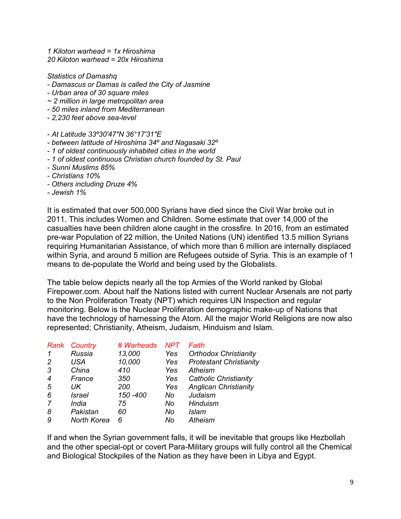*1 Kiloton warhead = 1x Hiroshima 20 Kiloton warhead = 20x Hiroshima*

*Statistics of Damashq*

- *- Damascus or Damas is called the City of Jasmine*
- *- Urban area of 30 square miles*
- *~ 2 million in large metropolitan area*
- *- 50 miles inland from Mediterranean*
- *- 2,230 feet above sea-level*
- *- At Latitude 33º30′47″N 36°17′31″E*
- *- between latitude of Hiroshima 34º and Nagasaki 32º*
- *- 1 of oldest continuously inhabited cities in the world*
- *- 1 of oldest continuous Christian church founded by St. Paul*
- *- Sunni Muslims 85%*
- *- Christians 10%*
- *- Others including Druze 4%*
- *- Jewish 1%*

It is estimated that over 500,000 Syrians have died since the Civil War broke out in 2011. This includes Women and Children. Some estimate that over 14,000 of the casualties have been children alone caught in the crossfire. In 2016, from an estimated pre-war Population of 22 million, the United Nations (UN) identified 13.5 million Syrians requiring Humanitarian Assistance, of which more than 6 million are internally displaced within Syria, and around 5 million are Refugees outside of Syria. This is an example of 1 means to de-populate the World and being used by the Globalists.

The table below depicts nearly all the top Armies of the World ranked by Global Firepower.com. About half the Nations listed with current Nuclear Arsenals are not party to the Non Proliferation Treaty (NPT) which requires UN Inspection and regular monitoring. Below is the Nuclear Proliferation demographic make-up of Nations that have the technology of harnessing the Atom. All the major World Religions are now also represented; Christianity, Atheism, Judaism, Hinduism and Islam.

| Country             | # Warheads | <b>NPT</b> | Faith                          |
|---------------------|------------|------------|--------------------------------|
| Russia              | 13,000     | Yes        | <b>Orthodox Christianity</b>   |
| USA                 | 10,000     | Yes        | <b>Protestant Christianity</b> |
| China               | 410        | Yes        | Atheism                        |
| France              | 350        | Yes        | <b>Catholic Christianity</b>   |
| UK                  | 200        | Yes        | <b>Anglican Christianity</b>   |
| <i>Israel</i>       | 150 - 400  | No         | Judaism                        |
| <i><b>India</b></i> | 75         | No         | Hinduism                       |
| Pakistan            | 60         | No         | Islam                          |
| <b>North Korea</b>  | 6          | No         | <b>Atheism</b>                 |
|                     |            |            |                                |

If and when the Syrian government falls, it will be inevitable that groups like Hezbollah and the other special-opt or covert Para-Military groups will fully control all the Chemical and Biological Stockpiles of the Nation as they have been in Libya and Egypt.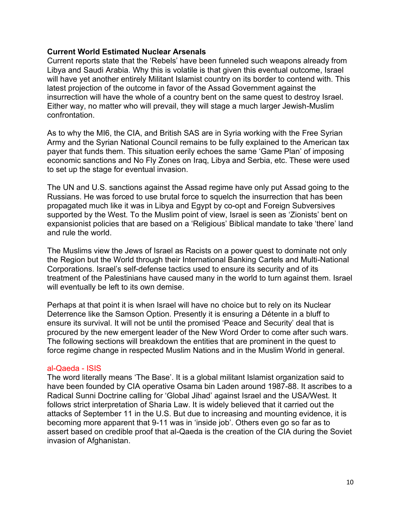# **Current World Estimated Nuclear Arsenals**

Current reports state that the 'Rebels' have been funneled such weapons already from Libya and Saudi Arabia. Why this is volatile is that given this eventual outcome, Israel will have yet another entirely Militant Islamist country on its border to contend with. This latest projection of the outcome in favor of the Assad Government against the insurrection will have the whole of a country bent on the same quest to destroy Israel. Either way, no matter who will prevail, they will stage a much larger Jewish-Muslim confrontation.

As to why the MI6, the CIA, and British SAS are in Syria working with the Free Syrian Army and the Syrian National Council remains to be fully explained to the American tax payer that funds them. This situation eerily echoes the same 'Game Plan' of imposing economic sanctions and No Fly Zones on Iraq, Libya and Serbia, etc. These were used to set up the stage for eventual invasion.

The UN and U.S. sanctions against the Assad regime have only put Assad going to the Russians. He was forced to use brutal force to squelch the insurrection that has been propagated much like it was in Libya and Egypt by co-opt and Foreign Subversives supported by the West. To the Muslim point of view, Israel is seen as 'Zionists' bent on expansionist policies that are based on a 'Religious' Biblical mandate to take 'there' land and rule the world.

The Muslims view the Jews of Israel as Racists on a power quest to dominate not only the Region but the World through their International Banking Cartels and Multi-National Corporations. Israel's self-defense tactics used to ensure its security and of its treatment of the Palestinians have caused many in the world to turn against them. Israel will eventually be left to its own demise.

Perhaps at that point it is when Israel will have no choice but to rely on its Nuclear Deterrence like the Samson Option. Presently it is ensuring a Détente in a bluff to ensure its survival. It will not be until the promised 'Peace and Security' deal that is procured by the new emergent leader of the New Word Order to come after such wars. The following sections will breakdown the entities that are prominent in the quest to force regime change in respected Muslim Nations and in the Muslim World in general.

## al-Qaeda - ISIS

The word literally means 'The Base'. It is a global militant Islamist organization said to have been founded by CIA operative Osama bin Laden around 1987-88. It ascribes to a Radical Sunni Doctrine calling for 'Global Jihad' against Israel and the USA/West. It follows strict interpretation of Sharia Law. It is widely believed that it carried out the attacks of September 11 in the U.S. But due to increasing and mounting evidence, it is becoming more apparent that 9-11 was in 'inside job'. Others even go so far as to assert based on credible proof that al-Qaeda is the creation of the CIA during the Soviet invasion of Afghanistan.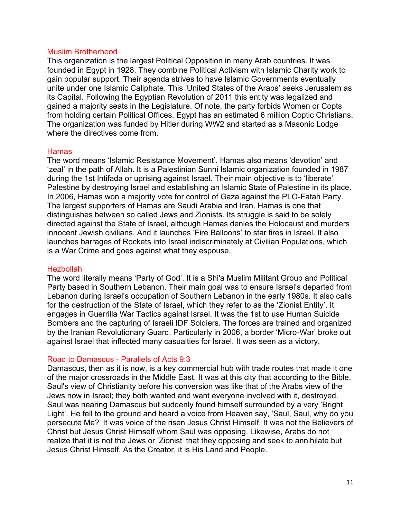## Muslim Brotherhood

This organization is the largest Political Opposition in many Arab countries. It was founded in Egypt in 1928. They combine Political Activism with Islamic Charity work to gain popular support. Their agenda strives to have Islamic Governments eventually unite under one Islamic Caliphate. This 'United States of the Arabs' seeks Jerusalem as its Capital. Following the Egyptian Revolution of 2011 this entity was legalized and gained a majority seats in the Legislature. Of note, the party forbids Women or Copts from holding certain Political Offices. Egypt has an estimated 6 million Coptic Christians. The organization was funded by Hitler during WW2 and started as a Masonic Lodge where the directives come from.

# Hamas

The word means 'Islamic Resistance Movement'. Hamas also means 'devotion' and 'zeal' in the path of Allah. It is a Palestinian Sunni Islamic organization founded in 1987 during the 1st Intifada or uprising against Israel. Their main objective is to 'liberate' Palestine by destroying Israel and establishing an Islamic State of Palestine in its place. In 2006, Hamas won a majority vote for control of Gaza against the PLO-Fatah Party. The largest supporters of Hamas are Saudi Arabia and Iran. Hamas is one that distinguishes between so called Jews and Zionists. Its struggle is said to be solely directed against the State of Israel, although Hamas denies the Holocaust and murders innocent Jewish civilians. And it launches 'Fire Balloons' to star fires in Israel. It also launches barrages of Rockets into Israel indiscriminately at Civilian Populations, which is a War Crime and goes against what they espouse.

## Hezbollah

The word literally means 'Party of God'. It is a Shi'a Muslim Militant Group and Political Party based in Southern Lebanon. Their main goal was to ensure Israel's departed from Lebanon during Israel's occupation of Southern Lebanon in the early 1980s. It also calls for the destruction of the State of Israel, which they refer to as the 'Zionist Entity'. It engages in Guerrilla War Tactics against Israel. It was the 1st to use Human Suicide Bombers and the capturing of Israeli IDF Soldiers. The forces are trained and organized by the Iranian Revolutionary Guard. Particularly in 2006, a border 'Micro-War' broke out against Israel that inflected many casualties for Israel. It was seen as a victory.

# Road to Damascus - Parallels of Acts 9:3

Damascus, then as it is now, is a key commercial hub with trade routes that made it one of the major crossroads in the Middle East. It was at this city that according to the Bible, Saul's view of Christianity before his conversion was like that of the Arabs view of the Jews now in Israel; they both wanted and want everyone involved with it, destroyed. Saul was nearing Damascus but suddenly found himself surrounded by a very 'Bright Light'. He fell to the ground and heard a voice from Heaven say, 'Saul, Saul, why do you persecute Me?' It was voice of the risen Jesus Christ Himself. It was not the Believers of Christ but Jesus Christ Himself whom Saul was opposing. Likewise, Arabs do not realize that it is not the Jews or 'Zionist' that they opposing and seek to annihilate but Jesus Christ Himself. As the Creator, it is His Land and People.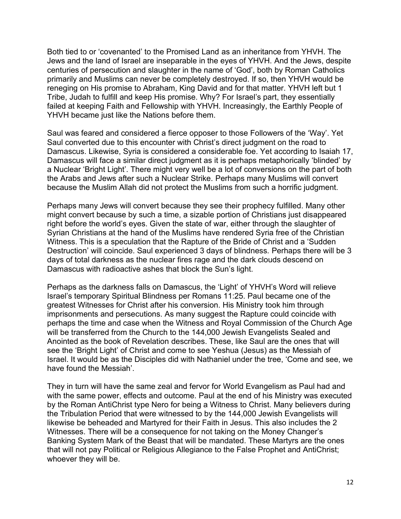Both tied to or 'covenanted' to the Promised Land as an inheritance from YHVH. The Jews and the land of Israel are inseparable in the eyes of YHVH. And the Jews, despite centuries of persecution and slaughter in the name of 'God', both by Roman Catholics primarily and Muslims can never be completely destroyed. If so, then YHVH would be reneging on His promise to Abraham, King David and for that matter. YHVH left but 1 Tribe, Judah to fulfill and keep His promise. Why? For Israel's part, they essentially failed at keeping Faith and Fellowship with YHVH. Increasingly, the Earthly People of YHVH became just like the Nations before them.

Saul was feared and considered a fierce opposer to those Followers of the 'Way'. Yet Saul converted due to this encounter with Christ's direct judgment on the road to Damascus. Likewise, Syria is considered a considerable foe. Yet according to Isaiah 17, Damascus will face a similar direct judgment as it is perhaps metaphorically 'blinded' by a Nuclear 'Bright Light'. There might very well be a lot of conversions on the part of both the Arabs and Jews after such a Nuclear Strike. Perhaps many Muslims will convert because the Muslim Allah did not protect the Muslims from such a horrific judgment.

Perhaps many Jews will convert because they see their prophecy fulfilled. Many other might convert because by such a time, a sizable portion of Christians just disappeared right before the world's eyes. Given the state of war, either through the slaughter of Syrian Christians at the hand of the Muslims have rendered Syria free of the Christian Witness. This is a speculation that the Rapture of the Bride of Christ and a 'Sudden Destruction' will coincide. Saul experienced 3 days of blindness. Perhaps there will be 3 days of total darkness as the nuclear fires rage and the dark clouds descend on Damascus with radioactive ashes that block the Sun's light.

Perhaps as the darkness falls on Damascus, the 'Light' of YHVH's Word will relieve Israel's temporary Spiritual Blindness per Romans 11:25. Paul became one of the greatest Witnesses for Christ after his conversion. His Ministry took him through imprisonments and persecutions. As many suggest the Rapture could coincide with perhaps the time and case when the Witness and Royal Commission of the Church Age will be transferred from the Church to the 144,000 Jewish Evangelists Sealed and Anointed as the book of Revelation describes. These, like Saul are the ones that will see the 'Bright Light' of Christ and come to see Yeshua (Jesus) as the Messiah of Israel. It would be as the Disciples did with Nathaniel under the tree, 'Come and see, we have found the Messiah'.

They in turn will have the same zeal and fervor for World Evangelism as Paul had and with the same power, effects and outcome. Paul at the end of his Ministry was executed by the Roman AntiChrist type Nero for being a Witness to Christ. Many believers during the Tribulation Period that were witnessed to by the 144,000 Jewish Evangelists will likewise be beheaded and Martyred for their Faith in Jesus. This also includes the 2 Witnesses. There will be a consequence for not taking on the Money Changer's Banking System Mark of the Beast that will be mandated. These Martyrs are the ones that will not pay Political or Religious Allegiance to the False Prophet and AntiChrist; whoever they will be.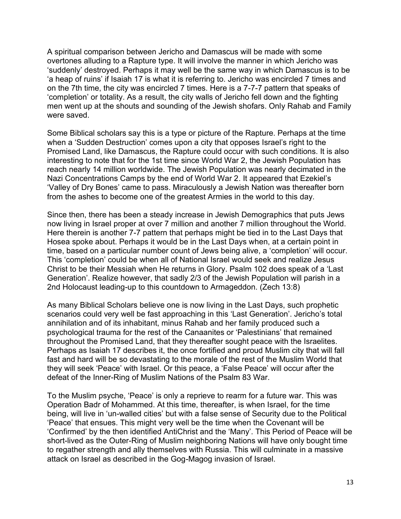A spiritual comparison between Jericho and Damascus will be made with some overtones alluding to a Rapture type. It will involve the manner in which Jericho was 'suddenly' destroyed. Perhaps it may well be the same way in which Damascus is to be 'a heap of ruins' if Isaiah 17 is what it is referring to. Jericho was encircled 7 times and on the 7th time, the city was encircled 7 times. Here is a 7-7-7 pattern that speaks of 'completion' or totality. As a result, the city walls of Jericho fell down and the fighting men went up at the shouts and sounding of the Jewish shofars. Only Rahab and Family were saved.

Some Biblical scholars say this is a type or picture of the Rapture. Perhaps at the time when a 'Sudden Destruction' comes upon a city that opposes Israel's right to the Promised Land, like Damascus, the Rapture could occur with such conditions. It is also interesting to note that for the 1st time since World War 2, the Jewish Population has reach nearly 14 million worldwide. The Jewish Population was nearly decimated in the Nazi Concentrations Camps by the end of World War 2. It appeared that Ezekiel's 'Valley of Dry Bones' came to pass. Miraculously a Jewish Nation was thereafter born from the ashes to become one of the greatest Armies in the world to this day.

Since then, there has been a steady increase in Jewish Demographics that puts Jews now living in Israel proper at over 7 million and another 7 million throughout the World. Here therein is another 7-7 pattern that perhaps might be tied in to the Last Days that Hosea spoke about. Perhaps it would be in the Last Days when, at a certain point in time, based on a particular number count of Jews being alive, a 'completion' will occur. This 'completion' could be when all of National Israel would seek and realize Jesus Christ to be their Messiah when He returns in Glory. Psalm 102 does speak of a 'Last Generation'. Realize however, that sadly 2/3 of the Jewish Population will parish in a 2nd Holocaust leading-up to this countdown to Armageddon. (Zech 13:8)

As many Biblical Scholars believe one is now living in the Last Days, such prophetic scenarios could very well be fast approaching in this 'Last Generation'. Jericho's total annihilation and of its inhabitant, minus Rahab and her family produced such a psychological trauma for the rest of the Canaanites or 'Palestinians' that remained throughout the Promised Land, that they thereafter sought peace with the Israelites. Perhaps as Isaiah 17 describes it, the once fortified and proud Muslim city that will fall fast and hard will be so devastating to the morale of the rest of the Muslim World that they will seek 'Peace' with Israel. Or this peace, a 'False Peace' will occur after the defeat of the Inner-Ring of Muslim Nations of the Psalm 83 War.

To the Muslim psyche, 'Peace' is only a reprieve to rearm for a future war. This was Operation Badr of Mohammed. At this time, thereafter, is when Israel, for the time being, will live in 'un-walled cities' but with a false sense of Security due to the Political 'Peace' that ensues. This might very well be the time when the Covenant will be 'Confirmed' by the then identified AntiChrist and the 'Many'. This Period of Peace will be short-lived as the Outer-Ring of Muslim neighboring Nations will have only bought time to regather strength and ally themselves with Russia. This will culminate in a massive attack on Israel as described in the Gog-Magog invasion of Israel.